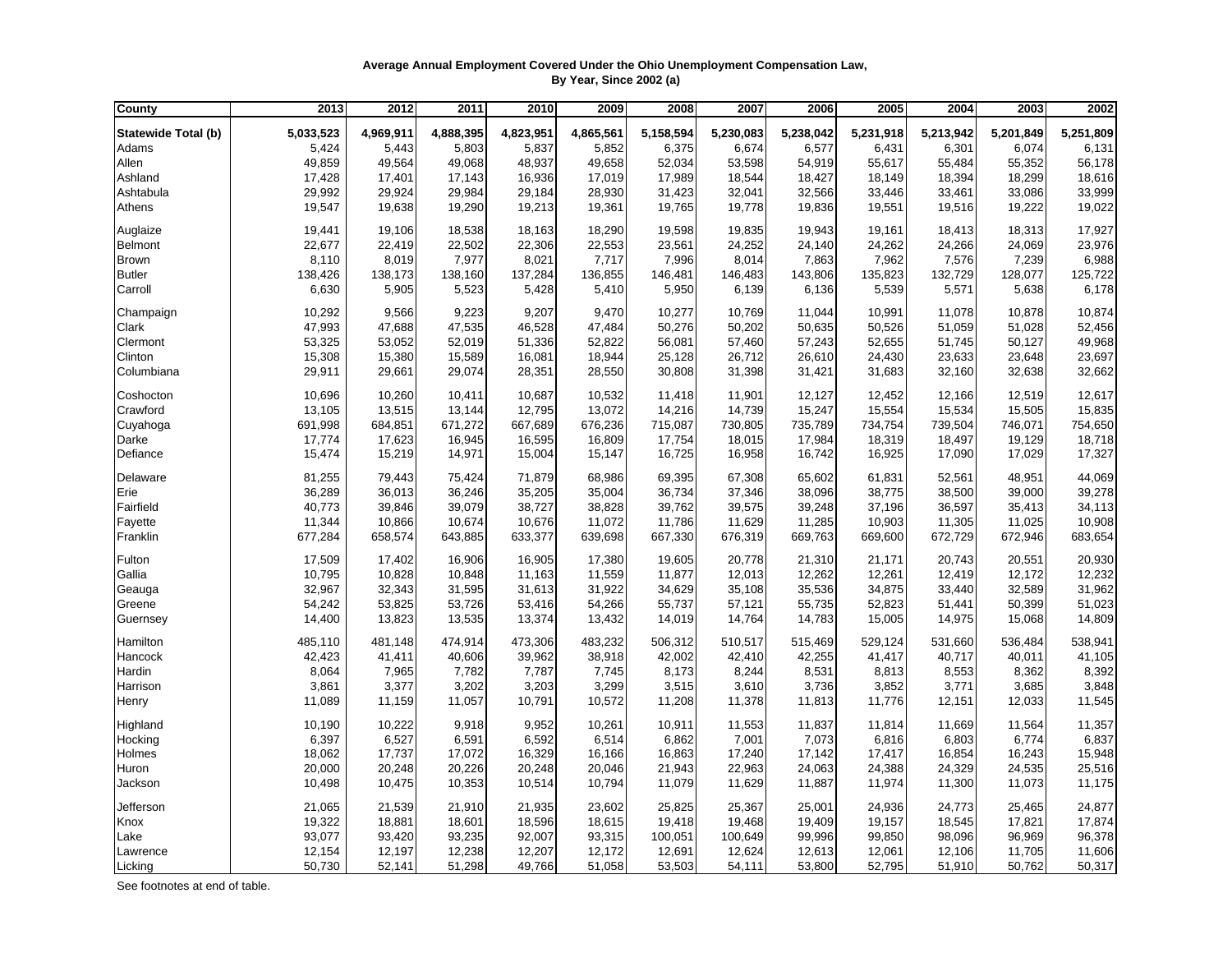## **Average Annual Employment Covered Under the Ohio Unemployment Compensation Law, By Year, Since 2002 (a)**

| <b>County</b>              | 2013      | 2012      | 2011      | 2010      | 2009      | 2008      | 2007      | 2006      | 2005      | 2004      | 2003      | 2002      |
|----------------------------|-----------|-----------|-----------|-----------|-----------|-----------|-----------|-----------|-----------|-----------|-----------|-----------|
| <b>Statewide Total (b)</b> | 5,033,523 | 4,969,911 | 4,888,395 | 4,823,951 | 4,865,561 | 5,158,594 | 5,230,083 | 5,238,042 | 5,231,918 | 5,213,942 | 5,201,849 | 5,251,809 |
| Adams                      | 5,424     | 5,443     | 5,803     | 5,837     | 5,852     | 6,375     | 6,674     | 6,577     | 6,431     | 6,301     | 6.074     | 6,131     |
| Allen                      | 49,859    | 49,564    | 49,068    | 48,937    | 49,658    | 52,034    | 53,598    | 54,919    | 55,617    | 55,484    | 55,352    | 56,178    |
| Ashland                    | 17,428    | 17,401    | 17,143    | 16,936    | 17,019    | 17,989    | 18,544    | 18,427    | 18,149    | 18,394    | 18,299    | 18,616    |
| Ashtabula                  | 29,992    | 29,924    | 29,984    | 29,184    | 28,930    | 31,423    | 32,041    | 32,566    | 33,446    | 33,461    | 33,086    | 33,999    |
| Athens                     | 19,547    | 19,638    | 19,290    | 19,213    | 19,361    | 19,765    | 19,778    | 19,836    | 19,551    | 19,516    | 19,222    | 19,022    |
| Auglaize                   | 19,441    | 19,106    | 18,538    | 18,163    | 18,290    | 19,598    | 19,835    | 19,943    | 19,161    | 18,413    | 18,313    | 17,927    |
| Belmont                    | 22,677    | 22,419    | 22,502    | 22,306    | 22,553    | 23,561    | 24,252    | 24,140    | 24,262    | 24,266    | 24,069    | 23,976    |
| <b>Brown</b>               | 8,110     | 8,019     | 7,977     | 8,021     | 7,717     | 7,996     | 8,014     | 7,863     | 7,962     | 7,576     | 7,239     | 6,988     |
| <b>Butler</b>              | 138,426   | 138,173   | 138,160   | 137,284   | 136,855   | 146,481   | 146,483   | 143,806   | 135,823   | 132,729   | 128,077   | 125,722   |
| Carroll                    | 6,630     | 5,905     | 5,523     | 5,428     | 5,410     | 5,950     | 6,139     | 6,136     | 5,539     | 5,571     | 5,638     | 6,178     |
| Champaign                  | 10,292    | 9,566     | 9,223     | 9,207     | 9,470     | 10,277    | 10,769    | 11,044    | 10,991    | 11,078    | 10,878    | 10,874    |
| Clark                      | 47,993    | 47,688    | 47,535    | 46,528    | 47,484    | 50,276    | 50,202    | 50,635    | 50,526    | 51,059    | 51,028    | 52,456    |
| Clermont                   | 53,325    | 53,052    | 52,019    | 51,336    | 52,822    | 56,081    | 57,460    | 57,243    | 52,655    | 51,745    | 50,127    | 49,968    |
| Clinton                    | 15,308    | 15,380    | 15,589    | 16,081    | 18,944    | 25,128    | 26,712    | 26,610    | 24,430    | 23,633    | 23,648    | 23,697    |
| Columbiana                 | 29,911    | 29,661    | 29,074    | 28,351    | 28,550    | 30,808    | 31,398    | 31,421    | 31,683    | 32,160    | 32,638    | 32,662    |
| Coshocton                  | 10,696    | 10,260    | 10,411    | 10,687    | 10,532    | 11,418    | 11,901    | 12,127    | 12,452    | 12,166    | 12,519    | 12,617    |
| Crawford                   | 13,105    | 13,515    | 13,144    | 12,795    | 13,072    | 14,216    | 14,739    | 15,247    | 15,554    | 15,534    | 15,505    | 15,835    |
| Cuyahoga                   | 691,998   | 684,851   | 671,272   | 667,689   | 676,236   | 715,087   | 730,805   | 735,789   | 734,754   | 739,504   | 746,071   | 754,650   |
| Darke                      | 17,774    | 17,623    | 16,945    | 16,595    | 16,809    | 17,754    | 18,015    | 17,984    | 18,319    | 18,497    | 19,129    | 18,718    |
| Defiance                   | 15,474    | 15,219    | 14,971    | 15,004    | 15,147    | 16,725    | 16,958    | 16,742    | 16,925    | 17,090    | 17,029    | 17,327    |
| Delaware                   | 81,255    | 79,443    | 75,424    | 71,879    | 68,986    | 69,395    | 67,308    | 65,602    | 61,831    | 52,561    | 48,951    | 44,069    |
| Erie                       | 36,289    | 36,013    | 36,246    | 35,205    | 35,004    | 36,734    | 37,346    | 38,096    | 38,775    | 38,500    | 39,000    | 39,278    |
| Fairfield                  | 40,773    | 39,846    | 39,079    | 38,727    | 38,828    | 39,762    | 39,575    | 39,248    | 37,196    | 36,597    | 35,413    | 34,113    |
| Fayette                    | 11,344    | 10,866    | 10,674    | 10,676    | 11,072    | 11,786    | 11,629    | 11,285    | 10,903    | 11,305    | 11,025    | 10,908    |
| Franklin                   | 677,284   | 658,574   | 643,885   | 633,377   | 639,698   | 667,330   | 676,319   | 669,763   | 669,600   | 672,729   | 672,946   | 683,654   |
| Fulton                     | 17,509    | 17,402    | 16,906    | 16,905    | 17,380    | 19,605    | 20,778    | 21,310    | 21,171    | 20,743    | 20,551    | 20,930    |
| Gallia                     | 10,795    | 10,828    | 10,848    | 11,163    | 11,559    | 11,877    | 12,013    | 12,262    | 12,261    | 12,419    | 12,172    | 12,232    |
| Geauga                     | 32,967    | 32,343    | 31,595    | 31,613    | 31,922    | 34,629    | 35,108    | 35,536    | 34,875    | 33,440    | 32,589    | 31,962    |
| Greene                     | 54,242    | 53,825    | 53,726    | 53,416    | 54,266    | 55,737    | 57,121    | 55,735    | 52,823    | 51,441    | 50,399    | 51,023    |
| Guernsey                   | 14,400    | 13,823    | 13,535    | 13,374    | 13,432    | 14,019    | 14,764    | 14,783    | 15,005    | 14,975    | 15,068    | 14,809    |
| Hamilton                   | 485,110   | 481,148   | 474,914   | 473,306   | 483,232   | 506,312   | 510,517   | 515,469   | 529,124   | 531,660   | 536,484   | 538,941   |
| Hancock                    | 42,423    | 41,411    | 40,606    | 39,962    | 38,918    | 42,002    | 42,410    | 42,255    | 41,417    | 40,717    | 40,011    | 41,105    |
| Hardin                     | 8,064     | 7,965     | 7,782     | 7,787     | 7,745     | 8,173     | 8,244     | 8,531     | 8,813     | 8,553     | 8,362     | 8,392     |
| Harrison                   | 3,861     | 3,377     | 3,202     | 3,203     | 3,299     | 3,515     | 3,610     | 3,736     | 3,852     | 3,771     | 3,685     | 3,848     |
| Henry                      | 11,089    | 11,159    | 11,057    | 10,791    | 10,572    | 11,208    | 11,378    | 11,813    | 11,776    | 12,151    | 12,033    | 11,545    |
| Highland                   | 10,190    | 10,222    | 9,918     | 9,952     | 10,261    | 10,911    | 11,553    | 11,837    | 11,814    | 11,669    | 11,564    | 11,357    |
| Hocking                    | 6,397     | 6,527     | 6,591     | 6,592     | 6,514     | 6,862     | 7,001     | 7,073     | 6,816     | 6,803     | 6,774     | 6,837     |
| Holmes                     | 18,062    | 17,737    | 17,072    | 16,329    | 16,166    | 16,863    | 17,240    | 17,142    | 17,417    | 16,854    | 16,243    | 15,948    |
| Huron                      | 20,000    | 20,248    | 20,226    | 20,248    | 20,046    | 21,943    | 22,963    | 24,063    | 24,388    | 24,329    | 24,535    | 25,516    |
| Jackson                    | 10,498    | 10,475    | 10,353    | 10,514    | 10,794    | 11,079    | 11,629    | 11,887    | 11,974    | 11,300    | 11,073    | 11,175    |
| Jefferson                  | 21,065    | 21,539    | 21,910    | 21,935    | 23,602    | 25,825    | 25,367    | 25,001    | 24,936    | 24,773    | 25,465    | 24,877    |
| Knox                       | 19,322    | 18,881    | 18,601    | 18,596    | 18,615    | 19,418    | 19,468    | 19,409    | 19,157    | 18,545    | 17,821    | 17,874    |
| Lake                       | 93,077    | 93,420    | 93,235    | 92,007    | 93,315    | 100,051   | 100,649   | 99,996    | 99,850    | 98,096    | 96,969    | 96,378    |
| Lawrence                   | 12,154    | 12,197    | 12,238    | 12,207    | 12,172    | 12,691    | 12,624    | 12,613    | 12,061    | 12,106    | 11,705    | 11,606    |
| Licking                    | 50,730    | 52,141    | 51,298    | 49,766    | 51,058    | 53,503    | 54,111    | 53,800    | 52,795    | 51,910    | 50,762    | 50,317    |

See footnotes at end of table.